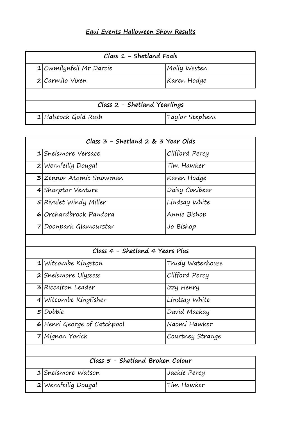## **Equi Events Halloween Show Results**

| Class $1$ - Shetland Foals   |                           |                 |
|------------------------------|---------------------------|-----------------|
|                              | $1$ Cwmilynfell Mr Darcie | Molly Westen    |
|                              | $2$ <i>Carmilo Vixen</i>  | Karen Hodge     |
|                              |                           |                 |
| Class 2 - Shetland Yearlings |                           |                 |
|                              | $1$ Halstock Gold Rush    | Taylor Stephens |

| Class 3 - Shetland 2 & 3 Year Olds |                         |                |
|------------------------------------|-------------------------|----------------|
|                                    | 1 Snelsmore Versace     | Clifford Percy |
|                                    | 2 Wernfeilig Dougal     | Tim Hawker     |
|                                    | 3 Zennor Atomic Snowman | Karen Hodge    |
|                                    | 4 Sharptor Venture      | Daisy Conibear |
|                                    | 5 Rivulet Windy Miller  | Lindsay White  |
|                                    | 6 Orchardbrook Pandora  | Annie Bishop   |
|                                    | 7 Doonpark Glamourstar  | Jo Bishop      |

| Class 4 - Shetland 4 Years Plus |                             |                  |
|---------------------------------|-----------------------------|------------------|
|                                 | $1$ Witcombe Kingston       | Trudy Waterhouse |
|                                 | 2 Snelsmore Ulyssess        | Clifford Percy   |
|                                 | <b>3</b> Riccalton Leader   | Izzy Henry       |
|                                 | 4 Witcombe Kingfisher       | Lindsay White    |
|                                 | $5$ Dobbie                  | David Mackay     |
|                                 | 6 Henri George of Catchpool | Naomi Hawker     |
|                                 | 7 Mignon Yorick             | Courtney Strange |

| Class 5 - Shetland Broken Colour |                     |              |
|----------------------------------|---------------------|--------------|
|                                  | 1 Snelsmore Watson  | Jackie Percy |
|                                  | 2 Wernfeilig Dougal | Tim Hawker   |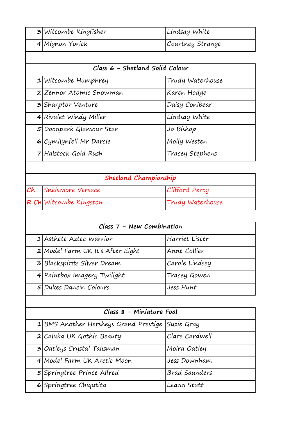| 3 Witcombe Kingfisher | Lindsay White    |
|-----------------------|------------------|
| 4 Mignon Yorick       | Courtney Strange |

| Class 6 - Shetland Solid Colour |                           |                  |
|---------------------------------|---------------------------|------------------|
|                                 | $1$ Witcombe Humphrey     | Trudy Waterhouse |
|                                 | 2 Zennor Atomic Snowman   | Karen Hodge      |
|                                 | <b>3</b> Sharptor Venture | Daisy Conibear   |
|                                 | 4 Rivulet Windy Miller    | Lindsay White    |
|                                 | 5 Doonpark Glamour Star   | Jo Bishop        |
|                                 | 6 Cymilynfell Mr Darcie   | Molly Westen     |
|                                 | 7 Halstock Gold Rush      | Tracey Stephens  |

| Shetland Championship  |                  |  |
|------------------------|------------------|--|
| Ch Snelsmore Versace   | Clifford Percy   |  |
| R Ch Witcombe Kingston | Trudy Waterhouse |  |

| Class 7 - New Combination |                                    |                |
|---------------------------|------------------------------------|----------------|
|                           | 1 Asthete Aztec Warrior            | Harriet Lister |
|                           | $2$ Model Farm UK It's After Eight | Anne Collier   |
|                           | 3 Blackspirits Silver Dream        | Carole Lindsey |
|                           | 4 Paintbox Imagery Twilight        | Tracey Gowen   |
|                           | 5 Dukes Dancin Colours             | Jess Hunt      |

| Class 8 - Miniature Foal                         |                      |  |
|--------------------------------------------------|----------------------|--|
| 1 BMS Another Hersheys Grand Prestige Suzie Gray |                      |  |
| 2 Caluka UK Gothic Beauty                        | Clare Cardwell       |  |
| 3 Oatleys Crystal Talisman                       | Moira Oatley         |  |
| 4 Model Farm UK Arctic Moon                      | Jess Downham         |  |
| 5 Springtree Prince Alfred                       | <b>Brad Saunders</b> |  |
| 6 Springtree Chiqutita                           | Leann Stutt          |  |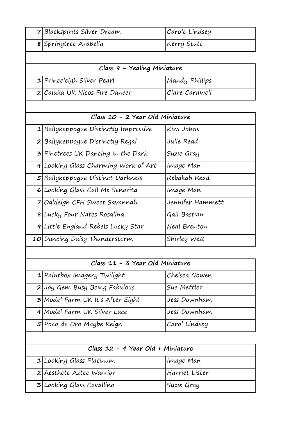| 7 Blackspirits Silver Dream               | Carole Lindsey   |
|-------------------------------------------|------------------|
| 8 Springtree Arabella                     | Kerry Stutt      |
|                                           |                  |
| Class 9 - Yealing Miniature               |                  |
| 1 Princeleigh Silver Pearl                | Mandy Phillips   |
| 2 Caluka UK Nicos Fire Dancer             | Clare Cardwell   |
|                                           |                  |
| Class 10 - 2 Year Old Miniature           |                  |
| 1 Ballykeppogue Distinctly Impressive     | Kim Johns        |
| 2 Ballykeppogue Distinctly Regal          | Julie Read       |
| <b>3</b> Pinetrees UK Dancing in the Dark | Suzie Gray       |
| 4 Looking Glass Charming Work of Art      | Image Man        |
| 5 Ballykeppogue Distinct Darkness         | Rebakah Read     |
| 6 Looking Glass Call Me Senorita          | Image Man        |
| 7 Oakleigh CFH Sweet Savannah             | Jennifer Hammett |
| 8 Lucky Four Nates Rosalina               | Gail Bastian     |
| 9 Little England Rebels Lucky Star        | Neal Brenton     |
| 10 Dancing Daisy Thunderstorm             | Shirley West     |
|                                           |                  |
| Class 11 - 3 Year Old Miniature           |                  |
| $1$  Paintbox Imagery Twilight            | Chelsea Gowen    |
| 2 Joy Gem Busy Being Fabulous             | Sue Mettler      |
| 3 Model Farm UK It's After Eight          | Jess Downham     |
| 4 Model Farm UK Silver Lace               | Jess Downham     |
| 5 Poco de Oro Maybe Reign                 | Carol Lindsey    |
|                                           |                  |
| Class 12 - 4 Year Old + Miniature         |                  |
| 1 Looking Glass Platinum                  | Image Man        |
| 2 Aesthete Aztec Warrior                  | Harriet Lister   |
| <b>3</b> Looking Glass Cavallino          | Suzie Gray       |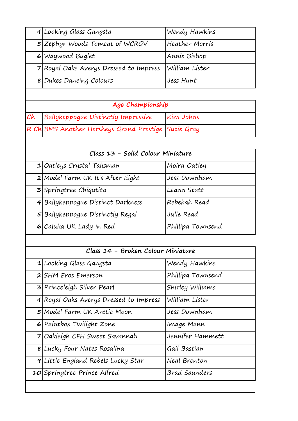|    | 4 Looking Glass Gangsta                  | Wendy Hawkins         |
|----|------------------------------------------|-----------------------|
|    | 5 Zephyr Woods Tomcat of WCRGV           | <b>Heather Morris</b> |
|    | 6 Waywood Buglet                         | Annie Bishop          |
|    | 7 Royal Oaks Averys Dressed to Impress   | William Lister        |
|    | 8 Dukes Dancing Colours                  | Jess Hunt             |
|    |                                          |                       |
|    | Age Championship                         |                       |
| Ch | Ballykeppogue Distinctly Impressive      | Kim Johns             |
|    | R Ch BMS Another Hersheys Grand Prestige | Suzie Gray            |
|    |                                          |                       |
|    | Class 13 - Solid Colour Miniature        |                       |
|    | $1$ <i>Oatleys Crystal Talisman</i>      | Moira Oatley          |
|    | 2 Model Farm UK It's After Eight         | Jess Downham          |
|    | 3 Springtree Chiqutita                   | Leann Stutt           |
|    | 4 Ballykeppogue Distinct Darkness        | Rebekah Read          |
|    | 5 Ballykeppogue Distinctly Regal         | Julie Read            |
|    | 6 Caluka UK Lady in Red                  | Phillipa Townsend     |
|    |                                          |                       |
|    | Class 14 - Broken Colour Miniature       |                       |
|    | 1 Looking Glass Gangsta                  | Wendy Hawkins         |
|    | 2 SHM Eros Emerson                       | Phillipa Townsend     |
|    | 3 Princeleigh Silver Pearl               | Shirley Williams      |
|    | 4 Royal Oaks Averys Dressed to Impress   | William Lister        |
|    | 5 Model Farm UK Arctic Moon              | Jess Downham          |
|    | 6 Paintbox Twilight Zone                 | Image Mann            |
| 7  | Oakleigh CFH Sweet Savannah              | Jennifer Hammett      |
|    | 8 Lucky Four Nates Rosalina              | Gail Bastian          |
|    | 9 Little England Rebels Lucky Star       | Neal Brenton          |
|    | 10 Springtree Prince Alfred              | Brad Saunders         |
|    |                                          |                       |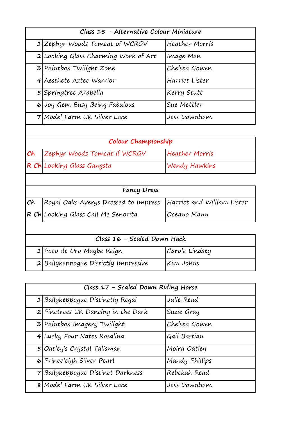| Class 15 - Alternative Colour Miniature |                                      |                       |  |
|-----------------------------------------|--------------------------------------|-----------------------|--|
|                                         | $1$  Zephyr Woods Tomcat of WCRGV    | Heather Morris        |  |
|                                         | 2 Looking Glass Charming Work of Art | Image Man             |  |
|                                         | 3 Paintbox Twilight Zone             | Chelsea Gowen         |  |
|                                         | 4 Aesthete Aztec Warrior             | Harriet Lister        |  |
|                                         | 5 Springtree Arabella                | Kerry Stutt           |  |
|                                         | 6 Joy Gem Busy Being Fabulous        | Sue Mettler           |  |
|                                         | 7   Model Farm UK Silver Lace        | Jess Downham          |  |
|                                         |                                      |                       |  |
| Colour Championship                     |                                      |                       |  |
| $\mathcal C\mathsf{h}$                  | Zephyr Woods Tomcat if WCRGV         | <b>Heather Morris</b> |  |
|                                         | R Ch Looking Glass Gangsta           | Wendy Hawkins         |  |
|                                         |                                      |                       |  |
| <b>Fancy Dress</b>                      |                                      |                       |  |
|                                         |                                      |                       |  |

| Ch Royal Oaks Averys Dressed to Impress Harriet and William Lister |              |
|--------------------------------------------------------------------|--------------|
| $ R Ch $ Looking Glass Call Me Senorita                            | lOceano Mann |

| Class 16 - Scaled Down Hack |                                      |                |
|-----------------------------|--------------------------------------|----------------|
|                             | 1 Poco de Oro Maybe Reign            | Carole Lindsey |
|                             | 2 Ballykeppogue Distictly Impressive | Kim Johns      |

| Class 17 - Scaled Down Riding Horse |                                      |                |
|-------------------------------------|--------------------------------------|----------------|
|                                     | 1 Ballykeppogue Distinctly Regal     | Julie Read     |
|                                     | 2 Pinetrees UK Dancing in the Dark   | Suzie Gray     |
|                                     | 3 Paintbox Imagery Twilight          | Chelsea Gowen  |
|                                     | 4 Lucky Four Nates Rosalina          | Gail Bastian   |
|                                     | $5$ <i>Oatley's Crystal Talisman</i> | Moira Oatley   |
|                                     | 6 Princeleigh Silver Pearl           | Mandy Phillips |
|                                     | 7 Ballykeppogue Distinct Darkness    | Rebekah Read   |
|                                     | 8   Model Farm UK Silver Lace        | Jess Downham   |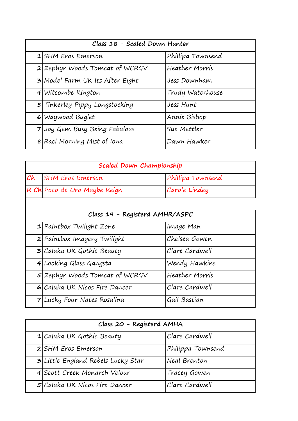| Class 18 - Scaled Down Hunter |                                        |                   |
|-------------------------------|----------------------------------------|-------------------|
|                               | 1 SHM Eros Emerson                     | Phillipa Townsend |
|                               | $2$ Zephyr Woods Tomcat of WCRGV       | Heather Morris    |
|                               | <b>3</b> Model Farm UK Its After Eight | Jess Downham      |
|                               | 4 Witcombe Kington                     | Trudy Waterhouse  |
|                               | 5 Tinkerley Pippy Longstocking         | Jess Hunt         |
|                               | 6 Waywood Buglet                       | Annie Bishop      |
|                               | 7 Joy Gem Busy Being Fabulous          | Sue Mettler       |
|                               | 8 Raci Morning Mist of Iona            | Dawn Hawker       |

| Scaled Down Championship |                              |                   |
|--------------------------|------------------------------|-------------------|
|                          | <b>Ch</b> SHM Eros Emerson   | Phillipa Townsend |
|                          | R Ch Poco de Oro Maybe Reign | Carole Lindey     |

| Class 19 - Registerd AMHR/ASPC |                                  |                |
|--------------------------------|----------------------------------|----------------|
|                                | $1$ Paintbox Twilight Zone       | Image Man      |
|                                | 2 Paintbox Imagery Twilight      | Chelsea Gowen  |
|                                | 3 Caluka UK Gothic Beauty        | Clare Cardwell |
|                                | 4 Looking Glass Gangsta          | Wendy Hawkins  |
|                                | $5$ Zephyr Woods Tomcat of WCRGV | Heather Morris |
|                                | 6 Caluka UK Nicos Fire Dancer    | Clare Cardwell |
|                                | 7 Lucky Four Nates Rosalina      | Gail Bastian   |

| Class 20 - Registerd AMHA |                                    |                   |
|---------------------------|------------------------------------|-------------------|
|                           | $1$ Caluka UK Gothic Beauty        | Clare Cardwell    |
|                           | 2 SHM Eros Emerson                 | Philippa Townsend |
|                           | 3 Little England Rebels Lucky Star | Neal Brenton      |
|                           | 4 Scott Creek Monarch Velour       | Tracey Gowen      |
|                           | 5 Caluka UK Nicos Fire Dancer      | Clare Cardwell    |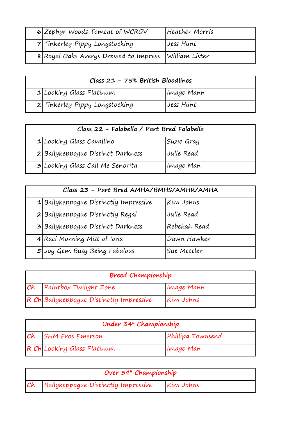| 6 Zephyr Woods Tomcat of WCRGV                        | Heather Morris |
|-------------------------------------------------------|----------------|
| 7 Tinkerley Pippy Longstocking                        | Jess Hunt      |
| 8 Royal Oaks Averys Dressed to Impress William Lister |                |

| Class 21 - 75% British Bloodlines |                                |            |
|-----------------------------------|--------------------------------|------------|
|                                   | 1 Looking Glass Platinum       | Image Mann |
|                                   | 2 Tinkerley Pippy Longstocking | Jess Hunt  |

| Class 22 - Falabella / Part Bred Falabella |                                         |            |
|--------------------------------------------|-----------------------------------------|------------|
|                                            | 1 Looking Glass Cavallino               | Suzie Gray |
|                                            | 2 Ballykeppogue Distinct Darkness       | Julie Read |
|                                            | <b>3</b> Looking Glass Call Me Senorita | Image Man  |

| Class 23 - Part Bred AMHA/BMHS/AMHR/AMHA |                                       |              |
|------------------------------------------|---------------------------------------|--------------|
|                                          | 1 Ballykeppogue Distinctly Impressive | Kim Johns    |
|                                          | 2 Ballykeppogue Distinctly Regal      | Julie Read   |
|                                          | 3 Ballykeppogue Distinct Darkness     | Rebekah Read |
|                                          | 4 Raci Morning Mist of Iona           | Dawn Hawker  |
|                                          | 5 Joy Gem Busy Being Fabulous         | Sue Mettler  |

| <b>Breed Championship</b> |                                          |            |
|---------------------------|------------------------------------------|------------|
|                           | <b>Ch</b> Paintbox Twilight Zone         | Image Mann |
|                           | R Ch Ballykeppogue Distinctly Impressive | Kim Johns  |

|    | Under 34" Championship      |                   |
|----|-----------------------------|-------------------|
| Ch | <b>SHM Eros Emerson</b>     | Phillipa Townsend |
|    | R Ch Looking Glass Platinum | Image Man         |

| Over 34" Championship                    |           |
|------------------------------------------|-----------|
| Ch   Ballykeppogue Distinctly Impressive | Kim Johns |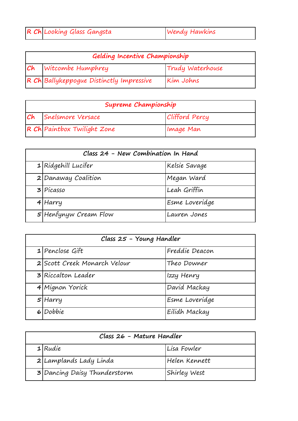| R Ch Looking Glass Gangsta | <b>Wendy Hawkins</b> |  |
|----------------------------|----------------------|--|
|                            |                      |  |

| Gelding Incentive Championship           |                  |
|------------------------------------------|------------------|
| <b>Ch</b> Witcombe Humphrey              | Trudy Waterhouse |
| R Ch Ballykeppogue Distinctly Impressive | Kim Johns        |

| Supreme Championship        |                |
|-----------------------------|----------------|
| <b>Ch</b> Snelsmore Versace | Clifford Percy |
| R Ch Paintbox Twilight Zone | Image Man      |

| Class 24 - New Combination In Hand |                |
|------------------------------------|----------------|
| $1$ Ridgehill Lucifer              | Kelsie Savage  |
| 2 Danaway Coalition                | Megan Ward     |
| $3$ Picasso                        | Leah Griffin   |
| 4 Harry                            | Esme Loveridge |
| 5 Henfynyw Cream Flow              | Lauren Jones   |

| Class 25 - Young Handler     |                |
|------------------------------|----------------|
| $1$ Penclose Gift            | Freddie Deacon |
| 2 Scott Creek Monarch Velour | Theo Downer    |
| <b>3</b> Riccalton Leader    | Izzy Henry     |
| 4 Mignon Yorick              | David Mackay   |
| $5$ Harry                    | Esme Loveridge |
| 6 Dobbie                     | Eilidh Mackay  |

| Class 26 - Mature Handler    |               |
|------------------------------|---------------|
| $1$ Rudie                    | Lisa Fowler   |
| 2 Lamplands Lady Linda       | Helen Kennett |
| 3 Dancing Daisy Thunderstorm | Shirley West  |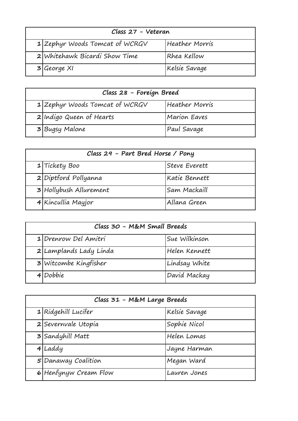| Class 27 - Veteran |                                  |                |  |
|--------------------|----------------------------------|----------------|--|
|                    | $1$ Zephyr Woods Tomcat of WCRGV | Heather Morris |  |
|                    | 2 Whitehawk Bicardi Show Time    | Rhea Kellow    |  |
|                    | 3 George XI                      | Kelsie Savage  |  |

| Class 28 - Foreign Breed         |                     |
|----------------------------------|---------------------|
| $1$ Zephyr Woods Tomcat of WCRGV | Heather Morris      |
| 2 Indigo Queen of Hearts         | <b>Marion Eaves</b> |
| 3 Bugsy Malone                   | Paul Savage         |

| Class 29 - Part Bred Horse / Pony |                        |               |  |
|-----------------------------------|------------------------|---------------|--|
|                                   | 1 Tickety Boo          | Steve Everett |  |
|                                   | 2 Diptford Pollyanna   | Katie Bennett |  |
|                                   | 3 Hollybush Allurement | Sam Mackaill  |  |
|                                   | 4 Kincullia Mayjor     | Allana Green  |  |

| Class 30 - M&M Small Breeds |                                |               |  |
|-----------------------------|--------------------------------|---------------|--|
|                             | 1 Drenrow Del Amitri           | Sue Wilkinson |  |
|                             | 2 Lamplands Lady Linda         | Helen Kennett |  |
|                             | $3$ <i>Witcombe Kingfisher</i> | Lindsay White |  |
|                             | 4 Dobbie                       | David Mackay  |  |

| Class 31 - M&M Large Breeds |                       |               |  |
|-----------------------------|-----------------------|---------------|--|
|                             | $1$ Ridgehill Lucifer | Kelsie Savage |  |
|                             | 2 Severnvale Utopia   | Sophie Nicol  |  |
|                             | 3 Sandyhill Matt      | Helen Lomas   |  |
|                             | $4$ Laddy             | Jayne Harman  |  |
|                             | 5 Danaway Coalition   | Megan Ward    |  |
|                             | 6 Henfynyw Cream Flow | Lauren Jones  |  |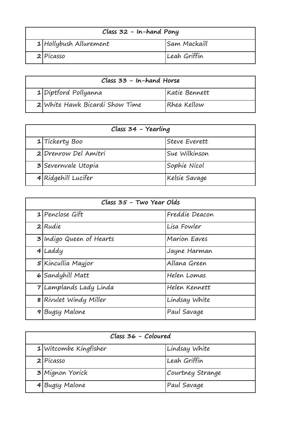| Class 32 - In-hand Pony |                           |              |  |
|-------------------------|---------------------------|--------------|--|
|                         | $1$  Hollybush Allurement | Sam Mackaill |  |
|                         | $2$ Picasso               | Leah Griffin |  |

| Class 33 - In-hand Horse |                                |               |
|--------------------------|--------------------------------|---------------|
|                          | $1$ Diptford Pollyanna         | Katie Bennett |
|                          | 2 White Hawk Bicardi Show Time | Rhea Kellow   |

| Class 34 - Yearling |                      |               |
|---------------------|----------------------|---------------|
|                     | 1 Tickerty Boo       | Steve Everett |
|                     | 2 Drenrow Del Amitri | Sue Wilkinson |
|                     | 3 Severnvale Utopia  | Sophie Nicol  |
|                     | 4 Ridgehill Lucifer  | Kelsie Savage |

| Class 35 - Two Year Olds |                                 |                     |
|--------------------------|---------------------------------|---------------------|
|                          | $1$ Penclose Gift               | Freddie Deacon      |
|                          | $2 R$ udie                      | Lisa Fowler         |
|                          | <b>3</b> Indigo Queen of Hearts | <b>Marion Eaves</b> |
|                          | $4$ Laddy                       | Jayne Harman        |
|                          | $5$  Kincullia Mayjor           | Allana Green        |
|                          | 6 Sandyhill Matt                | Helen Lomas         |
|                          | 7 Lamplands Lady Linda          | Helen Kennett       |
|                          | 8 Rivulet Windy Miller          | Lindsay White       |
| 9                        | Bugsy Malone                    | Paul Savage         |

| Class 36 - Coloured |                         |                  |
|---------------------|-------------------------|------------------|
|                     | $1$ Witcombe Kingfisher | Lindsay White    |
|                     | $2$ Picasso             | Leah Griffin     |
|                     | 3 Mignon Yorick         | Courtney Strange |
|                     | 4 Bugsy Malone          | Paul Savage      |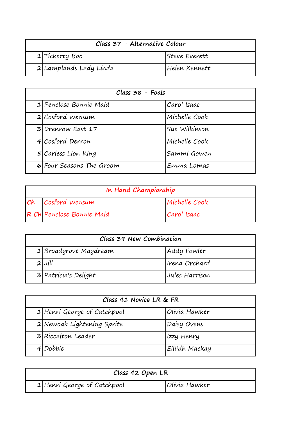| Class 37 - Alternative Colour |                        |                |  |
|-------------------------------|------------------------|----------------|--|
|                               | 1 Tickerty Boo         | lSteve Everett |  |
|                               | 2 Lamplands Lady Linda | Helen Kennett  |  |

| $Class 38 - Foals$ |                          |               |
|--------------------|--------------------------|---------------|
|                    | 1 Penclose Bonnie Maid   | Carol Isaac   |
|                    | 2 Cosford Wensum         | Michelle Cook |
|                    | 3 Drenrow East 17        | Sue Wilkinson |
|                    | 4 Cosford Derron         | Michelle Cook |
|                    | 5 Carless Lion King      | Sammi Gowen   |
|                    | 6 Four Seasons The Groom | Emma Lomas    |

| In Hand Championship |                           |               |
|----------------------|---------------------------|---------------|
|                      | <b>Ch</b> Cosford Wensum  | Michelle Cook |
|                      | R Ch Penclose Bonnie Maid | Carol Isaac   |

| Class 39 New Combination |                |  |
|--------------------------|----------------|--|
| 1 Broadgrove Maydream    | Addy Fowler    |  |
| $2$ $Jill$               | Irena Orchard  |  |
| $3$ Patricia's Delight   | Jules Harrison |  |

| Class 41 Novice LR & FR |                             |                |
|-------------------------|-----------------------------|----------------|
|                         | 1 Henri George of Catchpool | Olivia Hawker  |
|                         | 2 Newoak Lightening Sprite  | Daisy Ovens    |
|                         | 3 Riccalton Leader          | Izzy Henry     |
|                         | 4 Dobbie                    | Eiliidh Mackay |

| Class 42 Open LR            |               |  |
|-----------------------------|---------------|--|
| 1 Henri George of Catchpool | Olivia Hawker |  |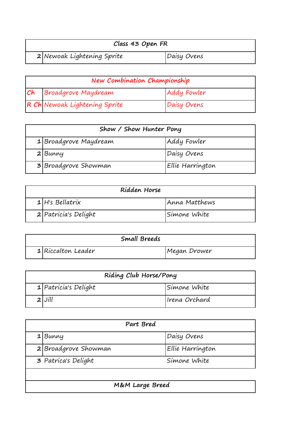| Class 43 Open FR           |             |
|----------------------------|-------------|
| 2 Newoak Lightening Sprite | Daisy Ovens |

| New Combination Championship |                               |             |
|------------------------------|-------------------------------|-------------|
|                              | Ch Broadgrove Maydream        | Addy Fowler |
|                              | R Ch Newoak Lightening Sprite | Daisy Ovens |

| Show / Show Hunter Pony |                       |                  |
|-------------------------|-----------------------|------------------|
|                         | 1 Broadgrove Maydream | Addy Fowler      |
|                         | 2 Bunny               | Daisy Ovens      |
|                         | 3 Broadgrove Showman  | Ellie Harrington |

| Ridden Horse |                      |               |
|--------------|----------------------|---------------|
|              | $1$ H's Bellatrix    | Anna Matthews |
|              | 2 Patricia's Delight | Simone White  |

| Small Breeds         |  |              |  |
|----------------------|--|--------------|--|
| $1$ Riccalton Leader |  | Megan Drower |  |

| Riding Club Horse/Pony |                        |               |
|------------------------|------------------------|---------------|
|                        | $1$ Patricia's Delight | Simone White  |
|                        | $2$ $Jill$             | Irena Orchard |

| Part Bred                           |                      |                  |
|-------------------------------------|----------------------|------------------|
|                                     | 1 Bunny              | Daisy Ovens      |
|                                     | 2 Broadgrove Showman | Ellie Harrington |
| 3 Patrica's Delight<br>Simone White |                      |                  |
|                                     |                      |                  |
| M&M Large Breed                     |                      |                  |